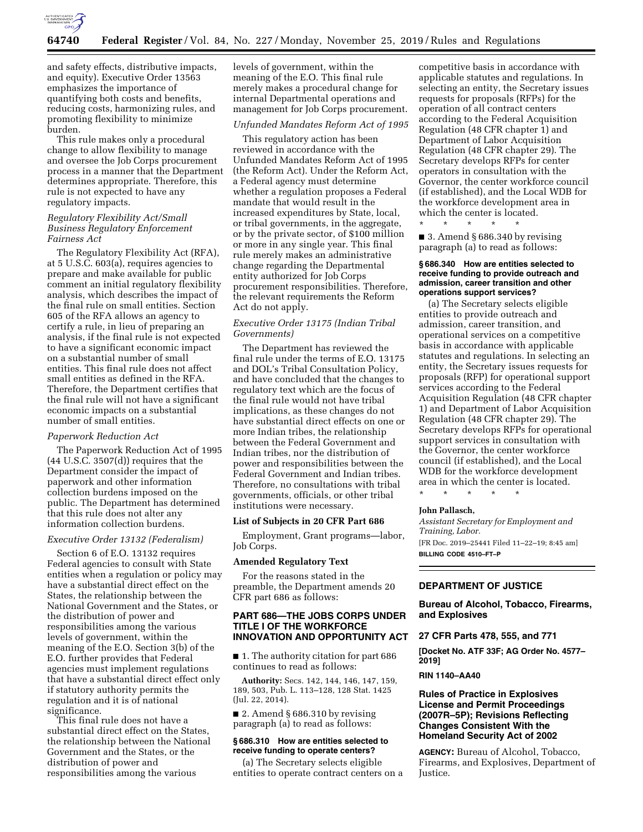

and safety effects, distributive impacts, and equity). Executive Order 13563 emphasizes the importance of quantifying both costs and benefits, reducing costs, harmonizing rules, and promoting flexibility to minimize burden.

This rule makes only a procedural change to allow flexibility to manage and oversee the Job Corps procurement process in a manner that the Department determines appropriate. Therefore, this rule is not expected to have any regulatory impacts.

## *Regulatory Flexibility Act/Small Business Regulatory Enforcement Fairness Act*

The Regulatory Flexibility Act (RFA), at 5 U.S.C. 603(a), requires agencies to prepare and make available for public comment an initial regulatory flexibility analysis, which describes the impact of the final rule on small entities. Section 605 of the RFA allows an agency to certify a rule, in lieu of preparing an analysis, if the final rule is not expected to have a significant economic impact on a substantial number of small entities. This final rule does not affect small entities as defined in the RFA. Therefore, the Department certifies that the final rule will not have a significant economic impacts on a substantial number of small entities.

## *Paperwork Reduction Act*

The Paperwork Reduction Act of 1995 (44 U.S.C. 3507(d)) requires that the Department consider the impact of paperwork and other information collection burdens imposed on the public. The Department has determined that this rule does not alter any information collection burdens.

#### *Executive Order 13132 (Federalism)*

Section 6 of E.O. 13132 requires Federal agencies to consult with State entities when a regulation or policy may have a substantial direct effect on the States, the relationship between the National Government and the States, or the distribution of power and responsibilities among the various levels of government, within the meaning of the E.O. Section 3(b) of the E.O. further provides that Federal agencies must implement regulations that have a substantial direct effect only if statutory authority permits the regulation and it is of national significance.

This final rule does not have a substantial direct effect on the States, the relationship between the National Government and the States, or the distribution of power and responsibilities among the various

levels of government, within the meaning of the E.O. This final rule merely makes a procedural change for internal Departmental operations and management for Job Corps procurement.

## *Unfunded Mandates Reform Act of 1995*

This regulatory action has been reviewed in accordance with the Unfunded Mandates Reform Act of 1995 (the Reform Act). Under the Reform Act, a Federal agency must determine whether a regulation proposes a Federal mandate that would result in the increased expenditures by State, local, or tribal governments, in the aggregate, or by the private sector, of \$100 million or more in any single year. This final rule merely makes an administrative change regarding the Departmental entity authorized for Job Corps procurement responsibilities. Therefore, the relevant requirements the Reform Act do not apply.

## *Executive Order 13175 (Indian Tribal Governments)*

The Department has reviewed the final rule under the terms of E.O. 13175 and DOL's Tribal Consultation Policy, and have concluded that the changes to regulatory text which are the focus of the final rule would not have tribal implications, as these changes do not have substantial direct effects on one or more Indian tribes, the relationship between the Federal Government and Indian tribes, nor the distribution of power and responsibilities between the Federal Government and Indian tribes. Therefore, no consultations with tribal governments, officials, or other tribal institutions were necessary.

#### **List of Subjects in 20 CFR Part 686**

Employment, Grant programs—labor, Job Corps.

#### **Amended Regulatory Text**

For the reasons stated in the preamble, the Department amends 20 CFR part 686 as follows:

# **PART 686—THE JOBS CORPS UNDER TITLE I OF THE WORKFORCE INNOVATION AND OPPORTUNITY ACT**

■ 1. The authority citation for part 686 continues to read as follows:

**Authority:** Secs. 142, 144, 146, 147, 159, 189, 503, Pub. L. 113–128, 128 Stat. 1425 (Jul. 22, 2014).

■ 2. Amend § 686.310 by revising paragraph (a) to read as follows:

## **§ 686.310 How are entities selected to receive funding to operate centers?**

(a) The Secretary selects eligible entities to operate contract centers on a competitive basis in accordance with applicable statutes and regulations. In selecting an entity, the Secretary issues requests for proposals (RFPs) for the operation of all contract centers according to the Federal Acquisition Regulation (48 CFR chapter 1) and Department of Labor Acquisition Regulation (48 CFR chapter 29). The Secretary develops RFPs for center operators in consultation with the Governor, the center workforce council (if established), and the Local WDB for the workforce development area in which the center is located.

■ 3. Amend § 686.340 by revising paragraph (a) to read as follows:

\* \* \* \* \*

## **§ 686.340 How are entities selected to receive funding to provide outreach and admission, career transition and other operations support services?**

(a) The Secretary selects eligible entities to provide outreach and admission, career transition, and operational services on a competitive basis in accordance with applicable statutes and regulations. In selecting an entity, the Secretary issues requests for proposals (RFP) for operational support services according to the Federal Acquisition Regulation (48 CFR chapter 1) and Department of Labor Acquisition Regulation (48 CFR chapter 29). The Secretary develops RFPs for operational support services in consultation with the Governor, the center workforce council (if established), and the Local WDB for the workforce development area in which the center is located.

\* \* \* \* \*

#### **John Pallasch,**

*Assistant Secretary for Employment and Training, Labor.*  [FR Doc. 2019–25441 Filed 11–22–19; 8:45 am] **BILLING CODE 4510–FT–P** 

# **DEPARTMENT OF JUSTICE**

**Bureau of Alcohol, Tobacco, Firearms, and Explosives** 

### **27 CFR Parts 478, 555, and 771**

**[Docket No. ATF 33F; AG Order No. 4577– 2019]** 

**RIN 1140–AA40** 

# **Rules of Practice in Explosives License and Permit Proceedings (2007R–5P); Revisions Reflecting Changes Consistent With the Homeland Security Act of 2002**

**AGENCY:** Bureau of Alcohol, Tobacco, Firearms, and Explosives, Department of Justice.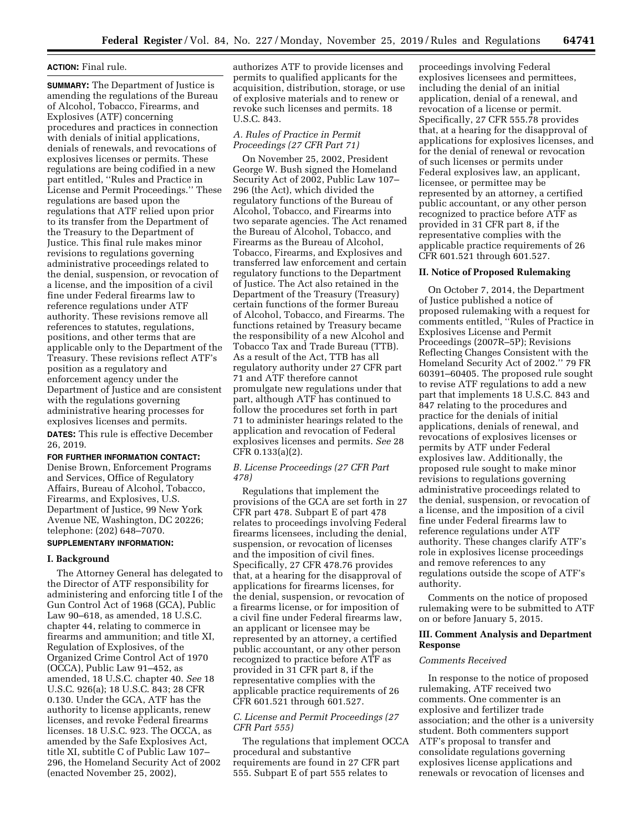# **ACTION:** Final rule.

**SUMMARY:** The Department of Justice is amending the regulations of the Bureau of Alcohol, Tobacco, Firearms, and Explosives (ATF) concerning procedures and practices in connection with denials of initial applications, denials of renewals, and revocations of explosives licenses or permits. These regulations are being codified in a new part entitled, ''Rules and Practice in License and Permit Proceedings.'' These regulations are based upon the regulations that ATF relied upon prior to its transfer from the Department of the Treasury to the Department of Justice. This final rule makes minor revisions to regulations governing administrative proceedings related to the denial, suspension, or revocation of a license, and the imposition of a civil fine under Federal firearms law to reference regulations under ATF authority. These revisions remove all references to statutes, regulations, positions, and other terms that are applicable only to the Department of the Treasury. These revisions reflect ATF's position as a regulatory and enforcement agency under the Department of Justice and are consistent with the regulations governing administrative hearing processes for explosives licenses and permits. **DATES:** This rule is effective December 26, 2019.

## **FOR FURTHER INFORMATION CONTACT:**

Denise Brown, Enforcement Programs and Services, Office of Regulatory Affairs, Bureau of Alcohol, Tobacco, Firearms, and Explosives, U.S. Department of Justice, 99 New York Avenue NE, Washington, DC 20226; telephone: (202) 648–7070.

# **SUPPLEMENTARY INFORMATION:**

#### **I. Background**

The Attorney General has delegated to the Director of ATF responsibility for administering and enforcing title I of the Gun Control Act of 1968 (GCA), Public Law 90–618, as amended, 18 U.S.C. chapter 44, relating to commerce in firearms and ammunition; and title XI, Regulation of Explosives, of the Organized Crime Control Act of 1970 (OCCA), Public Law 91–452, as amended, 18 U.S.C. chapter 40. *See* 18 U.S.C. 926(a); 18 U.S.C. 843; 28 CFR 0.130. Under the GCA, ATF has the authority to license applicants, renew licenses, and revoke Federal firearms licenses. 18 U.S.C. 923. The OCCA, as amended by the Safe Explosives Act, title XI, subtitle C of Public Law 107– 296, the Homeland Security Act of 2002 (enacted November 25, 2002),

authorizes ATF to provide licenses and permits to qualified applicants for the acquisition, distribution, storage, or use of explosive materials and to renew or revoke such licenses and permits. 18 U.S.C. 843.

## *A. Rules of Practice in Permit Proceedings (27 CFR Part 71)*

On November 25, 2002, President George W. Bush signed the Homeland Security Act of 2002, Public Law 107– 296 (the Act), which divided the regulatory functions of the Bureau of Alcohol, Tobacco, and Firearms into two separate agencies. The Act renamed the Bureau of Alcohol, Tobacco, and Firearms as the Bureau of Alcohol, Tobacco, Firearms, and Explosives and transferred law enforcement and certain regulatory functions to the Department of Justice. The Act also retained in the Department of the Treasury (Treasury) certain functions of the former Bureau of Alcohol, Tobacco, and Firearms. The functions retained by Treasury became the responsibility of a new Alcohol and Tobacco Tax and Trade Bureau (TTB). As a result of the Act, TTB has all regulatory authority under 27 CFR part 71 and ATF therefore cannot promulgate new regulations under that part, although ATF has continued to follow the procedures set forth in part 71 to administer hearings related to the application and revocation of Federal explosives licenses and permits. *See* 28 CFR 0.133(a)(2).

## *B. License Proceedings (27 CFR Part 478)*

Regulations that implement the provisions of the GCA are set forth in 27 CFR part 478. Subpart E of part 478 relates to proceedings involving Federal firearms licensees, including the denial, suspension, or revocation of licenses and the imposition of civil fines. Specifically, 27 CFR 478.76 provides that, at a hearing for the disapproval of applications for firearms licenses, for the denial, suspension, or revocation of a firearms license, or for imposition of a civil fine under Federal firearms law, an applicant or licensee may be represented by an attorney, a certified public accountant, or any other person recognized to practice before ATF as provided in 31 CFR part 8, if the representative complies with the applicable practice requirements of 26 CFR 601.521 through 601.527.

# *C. License and Permit Proceedings (27 CFR Part 555)*

The regulations that implement OCCA procedural and substantive requirements are found in 27 CFR part 555. Subpart E of part 555 relates to

proceedings involving Federal explosives licensees and permittees, including the denial of an initial application, denial of a renewal, and revocation of a license or permit. Specifically, 27 CFR 555.78 provides that, at a hearing for the disapproval of applications for explosives licenses, and for the denial of renewal or revocation of such licenses or permits under Federal explosives law, an applicant, licensee, or permittee may be represented by an attorney, a certified public accountant, or any other person recognized to practice before ATF as provided in 31 CFR part 8, if the representative complies with the applicable practice requirements of 26 CFR 601.521 through 601.527.

### **II. Notice of Proposed Rulemaking**

On October 7, 2014, the Department of Justice published a notice of proposed rulemaking with a request for comments entitled, ''Rules of Practice in Explosives License and Permit Proceedings (2007R–5P); Revisions Reflecting Changes Consistent with the Homeland Security Act of 2002.'' 79 FR 60391–60405. The proposed rule sought to revise ATF regulations to add a new part that implements 18 U.S.C. 843 and 847 relating to the procedures and practice for the denials of initial applications, denials of renewal, and revocations of explosives licenses or permits by ATF under Federal explosives law. Additionally, the proposed rule sought to make minor revisions to regulations governing administrative proceedings related to the denial, suspension, or revocation of a license, and the imposition of a civil fine under Federal firearms law to reference regulations under ATF authority. These changes clarify ATF's role in explosives license proceedings and remove references to any regulations outside the scope of ATF's authority.

Comments on the notice of proposed rulemaking were to be submitted to ATF on or before January 5, 2015.

# **III. Comment Analysis and Department Response**

#### *Comments Received*

In response to the notice of proposed rulemaking, ATF received two comments. One commenter is an explosive and fertilizer trade association; and the other is a university student. Both commenters support ATF's proposal to transfer and consolidate regulations governing explosives license applications and renewals or revocation of licenses and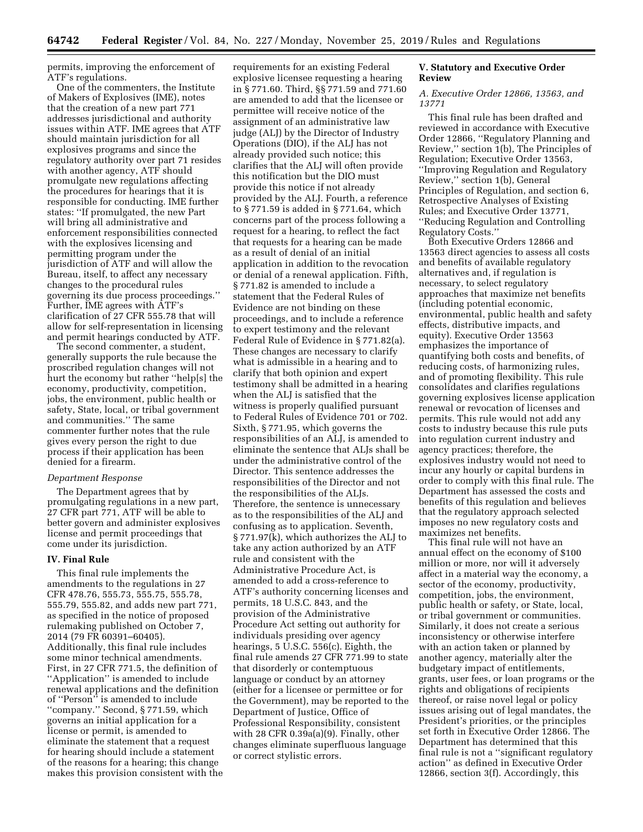permits, improving the enforcement of ATF's regulations.

One of the commenters, the Institute of Makers of Explosives (IME), notes that the creation of a new part 771 addresses jurisdictional and authority issues within ATF. IME agrees that ATF should maintain jurisdiction for all explosives programs and since the regulatory authority over part 71 resides with another agency, ATF should promulgate new regulations affecting the procedures for hearings that it is responsible for conducting. IME further states: ''If promulgated, the new Part will bring all administrative and enforcement responsibilities connected with the explosives licensing and permitting program under the jurisdiction of ATF and will allow the Bureau, itself, to affect any necessary changes to the procedural rules governing its due process proceedings.'' Further, IME agrees with ATF's clarification of 27 CFR 555.78 that will allow for self-representation in licensing and permit hearings conducted by ATF.

The second commenter, a student, generally supports the rule because the proscribed regulation changes will not hurt the economy but rather ''help[s] the economy, productivity, competition, jobs, the environment, public health or safety, State, local, or tribal government and communities.'' The same commenter further notes that the rule gives every person the right to due process if their application has been denied for a firearm.

### *Department Response*

The Department agrees that by promulgating regulations in a new part, 27 CFR part 771, ATF will be able to better govern and administer explosives license and permit proceedings that come under its jurisdiction.

## **IV. Final Rule**

This final rule implements the amendments to the regulations in 27 CFR 478.76, 555.73, 555.75, 555.78, 555.79, 555.82, and adds new part 771, as specified in the notice of proposed rulemaking published on October 7, 2014 (79 FR 60391–60405). Additionally, this final rule includes some minor technical amendments. First, in 27 CFR 771.5, the definition of ''Application'' is amended to include renewal applications and the definition of ''Person'' is amended to include ''company.'' Second, § 771.59, which governs an initial application for a license or permit, is amended to eliminate the statement that a request for hearing should include a statement of the reasons for a hearing; this change makes this provision consistent with the requirements for an existing Federal explosive licensee requesting a hearing in § 771.60. Third, §§ 771.59 and 771.60 are amended to add that the licensee or permittee will receive notice of the assignment of an administrative law judge (ALJ) by the Director of Industry Operations (DIO), if the ALJ has not already provided such notice; this clarifies that the ALJ will often provide this notification but the DIO must provide this notice if not already provided by the ALJ. Fourth, a reference to § 771.59 is added in § 771.64, which concerns part of the process following a request for a hearing, to reflect the fact that requests for a hearing can be made as a result of denial of an initial application in addition to the revocation or denial of a renewal application. Fifth, § 771.82 is amended to include a statement that the Federal Rules of Evidence are not binding on these proceedings, and to include a reference to expert testimony and the relevant Federal Rule of Evidence in § 771.82(a). These changes are necessary to clarify what is admissible in a hearing and to clarify that both opinion and expert testimony shall be admitted in a hearing when the ALJ is satisfied that the witness is properly qualified pursuant to Federal Rules of Evidence 701 or 702. Sixth, § 771.95, which governs the responsibilities of an ALJ, is amended to eliminate the sentence that ALJs shall be under the administrative control of the Director. This sentence addresses the responsibilities of the Director and not the responsibilities of the ALJs. Therefore, the sentence is unnecessary as to the responsibilities of the ALJ and confusing as to application. Seventh, § 771.97(k), which authorizes the ALJ to take any action authorized by an ATF rule and consistent with the Administrative Procedure Act, is amended to add a cross-reference to ATF's authority concerning licenses and permits, 18 U.S.C. 843, and the provision of the Administrative Procedure Act setting out authority for individuals presiding over agency hearings, 5 U.S.C. 556(c). Eighth, the final rule amends 27 CFR 771.99 to state that disorderly or contemptuous language or conduct by an attorney (either for a licensee or permittee or for the Government), may be reported to the Department of Justice, Office of Professional Responsibility, consistent with 28 CFR 0.39a(a)(9). Finally, other changes eliminate superfluous language or correct stylistic errors.

# **V. Statutory and Executive Order Review**

## *A. Executive Order 12866, 13563, and 13771*

This final rule has been drafted and reviewed in accordance with Executive Order 12866, ''Regulatory Planning and Review,'' section 1(b), The Principles of Regulation; Executive Order 13563, ''Improving Regulation and Regulatory Review,'' section 1(b), General Principles of Regulation, and section 6, Retrospective Analyses of Existing Rules; and Executive Order 13771, ''Reducing Regulation and Controlling Regulatory Costs.''

Both Executive Orders 12866 and 13563 direct agencies to assess all costs and benefits of available regulatory alternatives and, if regulation is necessary, to select regulatory approaches that maximize net benefits (including potential economic, environmental, public health and safety effects, distributive impacts, and equity). Executive Order 13563 emphasizes the importance of quantifying both costs and benefits, of reducing costs, of harmonizing rules, and of promoting flexibility. This rule consolidates and clarifies regulations governing explosives license application renewal or revocation of licenses and permits. This rule would not add any costs to industry because this rule puts into regulation current industry and agency practices; therefore, the explosives industry would not need to incur any hourly or capital burdens in order to comply with this final rule. The Department has assessed the costs and benefits of this regulation and believes that the regulatory approach selected imposes no new regulatory costs and maximizes net benefits.

This final rule will not have an annual effect on the economy of \$100 million or more, nor will it adversely affect in a material way the economy, a sector of the economy, productivity, competition, jobs, the environment, public health or safety, or State, local, or tribal government or communities. Similarly, it does not create a serious inconsistency or otherwise interfere with an action taken or planned by another agency, materially alter the budgetary impact of entitlements, grants, user fees, or loan programs or the rights and obligations of recipients thereof, or raise novel legal or policy issues arising out of legal mandates, the President's priorities, or the principles set forth in Executive Order 12866. The Department has determined that this final rule is not a ''significant regulatory action'' as defined in Executive Order 12866, section 3(f). Accordingly, this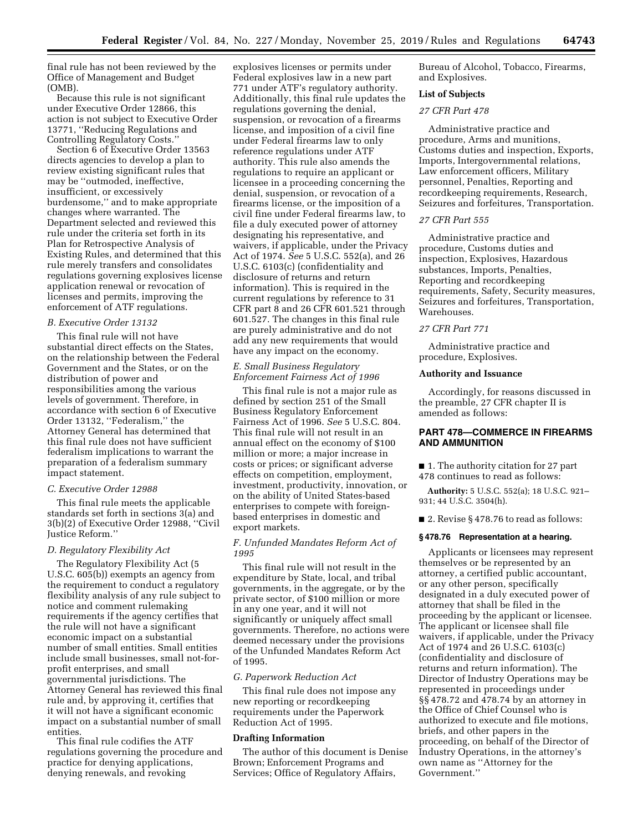final rule has not been reviewed by the Office of Management and Budget (OMB).

Because this rule is not significant under Executive Order 12866, this action is not subject to Executive Order 13771, ''Reducing Regulations and Controlling Regulatory Costs.''

Section 6 of Executive Order 13563 directs agencies to develop a plan to review existing significant rules that may be ''outmoded, ineffective, insufficient, or excessively burdensome,'' and to make appropriate changes where warranted. The Department selected and reviewed this rule under the criteria set forth in its Plan for Retrospective Analysis of Existing Rules, and determined that this rule merely transfers and consolidates regulations governing explosives license application renewal or revocation of licenses and permits, improving the enforcement of ATF regulations.

### *B. Executive Order 13132*

This final rule will not have substantial direct effects on the States, on the relationship between the Federal Government and the States, or on the distribution of power and responsibilities among the various levels of government. Therefore, in accordance with section 6 of Executive Order 13132, ''Federalism,'' the Attorney General has determined that this final rule does not have sufficient federalism implications to warrant the preparation of a federalism summary impact statement.

#### *C. Executive Order 12988*

This final rule meets the applicable standards set forth in sections 3(a) and 3(b)(2) of Executive Order 12988, ''Civil Justice Reform.''

# *D. Regulatory Flexibility Act*

The Regulatory Flexibility Act (5 U.S.C. 605(b)) exempts an agency from the requirement to conduct a regulatory flexibility analysis of any rule subject to notice and comment rulemaking requirements if the agency certifies that the rule will not have a significant economic impact on a substantial number of small entities. Small entities include small businesses, small not-forprofit enterprises, and small governmental jurisdictions. The Attorney General has reviewed this final rule and, by approving it, certifies that it will not have a significant economic impact on a substantial number of small entities.

This final rule codifies the ATF regulations governing the procedure and practice for denying applications, denying renewals, and revoking

explosives licenses or permits under Federal explosives law in a new part 771 under ATF's regulatory authority. Additionally, this final rule updates the regulations governing the denial, suspension, or revocation of a firearms license, and imposition of a civil fine under Federal firearms law to only reference regulations under ATF authority. This rule also amends the regulations to require an applicant or licensee in a proceeding concerning the denial, suspension, or revocation of a firearms license, or the imposition of a civil fine under Federal firearms law, to file a duly executed power of attorney designating his representative, and waivers, if applicable, under the Privacy Act of 1974. *See* 5 U.S.C. 552(a), and 26 U.S.C. 6103(c) (confidentiality and disclosure of returns and return information). This is required in the current regulations by reference to 31 CFR part 8 and 26 CFR 601.521 through 601.527. The changes in this final rule are purely administrative and do not add any new requirements that would have any impact on the economy.

## *E. Small Business Regulatory Enforcement Fairness Act of 1996*

This final rule is not a major rule as defined by section 251 of the Small Business Regulatory Enforcement Fairness Act of 1996. *See* 5 U.S.C. 804. This final rule will not result in an annual effect on the economy of \$100 million or more; a major increase in costs or prices; or significant adverse effects on competition, employment, investment, productivity, innovation, or on the ability of United States-based enterprises to compete with foreignbased enterprises in domestic and export markets.

# *F. Unfunded Mandates Reform Act of 1995*

This final rule will not result in the expenditure by State, local, and tribal governments, in the aggregate, or by the private sector, of \$100 million or more in any one year, and it will not significantly or uniquely affect small governments. Therefore, no actions were deemed necessary under the provisions of the Unfunded Mandates Reform Act of 1995.

#### *G. Paperwork Reduction Act*

This final rule does not impose any new reporting or recordkeeping requirements under the Paperwork Reduction Act of 1995.

### **Drafting Information**

The author of this document is Denise Brown; Enforcement Programs and Services; Office of Regulatory Affairs,

Bureau of Alcohol, Tobacco, Firearms, and Explosives.

#### **List of Subjects**

# *27 CFR Part 478*

Administrative practice and procedure, Arms and munitions, Customs duties and inspection, Exports, Imports, Intergovernmental relations, Law enforcement officers, Military personnel, Penalties, Reporting and recordkeeping requirements, Research, Seizures and forfeitures, Transportation.

### *27 CFR Part 555*

Administrative practice and procedure, Customs duties and inspection, Explosives, Hazardous substances, Imports, Penalties, Reporting and recordkeeping requirements, Safety, Security measures, Seizures and forfeitures, Transportation, Warehouses.

# *27 CFR Part 771*

Administrative practice and procedure, Explosives.

### **Authority and Issuance**

Accordingly, for reasons discussed in the preamble, 27 CFR chapter II is amended as follows:

# **PART 478—COMMERCE IN FIREARMS AND AMMUNITION**

■ 1. The authority citation for 27 part 478 continues to read as follows:

**Authority:** 5 U.S.C. 552(a); 18 U.S.C. 921– 931; 44 U.S.C. 3504(h).

■ 2. Revise § 478.76 to read as follows:

#### **§ 478.76 Representation at a hearing.**

Applicants or licensees may represent themselves or be represented by an attorney, a certified public accountant, or any other person, specifically designated in a duly executed power of attorney that shall be filed in the proceeding by the applicant or licensee. The applicant or licensee shall file waivers, if applicable, under the Privacy Act of 1974 and 26 U.S.C. 6103(c) (confidentiality and disclosure of returns and return information). The Director of Industry Operations may be represented in proceedings under §§ 478.72 and 478.74 by an attorney in the Office of Chief Counsel who is authorized to execute and file motions, briefs, and other papers in the proceeding, on behalf of the Director of Industry Operations, in the attorney's own name as ''Attorney for the Government.''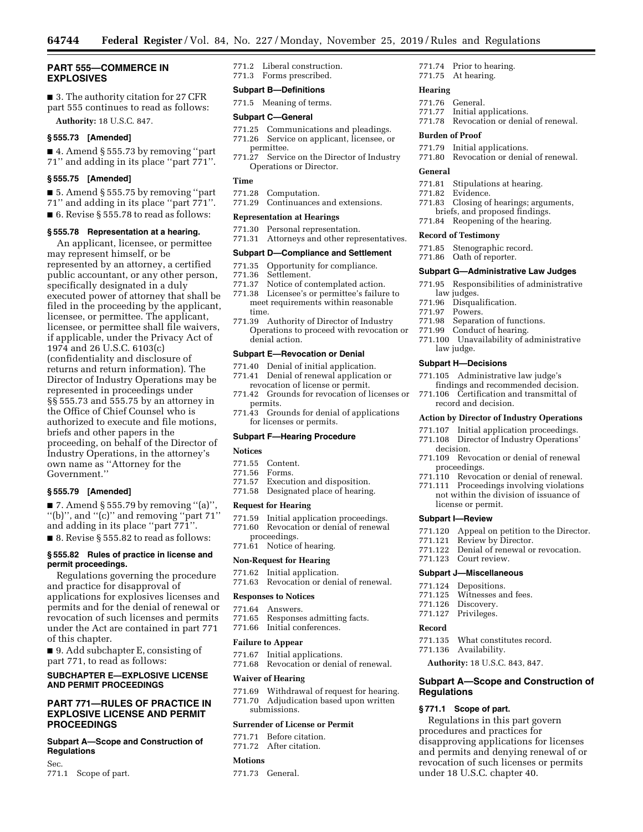# **PART 555—COMMERCE IN EXPLOSIVES**

■ 3. The authority citation for 27 CFR part 555 continues to read as follows: **Authority:** 18 U.S.C. 847.

### **§ 555.73 [Amended]**

■ 4. Amend § 555.73 by removing "part 71'' and adding in its place ''part 771''.

#### **§ 555.75 [Amended]**

■ 5. Amend § 555.75 by removing "part 71'' and adding in its place ''part 771''. ■ 6. Revise § 555.78 to read as follows:

## **§ 555.78 Representation at a hearing.**

An applicant, licensee, or permittee may represent himself, or be represented by an attorney, a certified public accountant, or any other person, specifically designated in a duly executed power of attorney that shall be filed in the proceeding by the applicant, licensee, or permittee. The applicant, licensee, or permittee shall file waivers, if applicable, under the Privacy Act of 1974 and 26 U.S.C. 6103(c) (confidentiality and disclosure of returns and return information). The Director of Industry Operations may be represented in proceedings under §§ 555.73 and 555.75 by an attorney in the Office of Chief Counsel who is authorized to execute and file motions, briefs and other papers in the proceeding, on behalf of the Director of Industry Operations, in the attorney's own name as ''Attorney for the Government.''

### **§ 555.79 [Amended]**

 $\blacksquare$  7. Amend § 555.79 by removing "(a)", "(b)", and " $(c)$ " and removing "part 71" and adding in its place ''part 771''. ■ 8. Revise § 555.82 to read as follows:

## **§ 555.82 Rules of practice in license and permit proceedings.**

Regulations governing the procedure and practice for disapproval of applications for explosives licenses and permits and for the denial of renewal or revocation of such licenses and permits under the Act are contained in part 771 of this chapter.

■ 9. Add subchapter E, consisting of part 771, to read as follows:

# **SUBCHAPTER E—EXPLOSIVE LICENSE AND PERMIT PROCEEDINGS**

# **PART 771—RULES OF PRACTICE IN EXPLOSIVE LICENSE AND PERMIT PROCEEDINGS**

# **Subpart A—Scope and Construction of Regulations**

Sec. 771.1 Scope of part. 771.2 Liberal construction. 771.3 Forms prescribed.

## **Subpart B—Definitions**

771.5 Meaning of terms.

#### **Subpart C—General**

- 771.25 Communications and pleadings. 771.26 Service on applicant, licensee, or permittee.
- 771.27 Service on the Director of Industry Operations or Director.

### **Time**

- 771.28 Computation.
- 771.29 Continuances and extensions.

## **Representation at Hearings**

- 771.30 Personal representation.
- 771.31 Attorneys and other representatives.

## **Subpart D—Compliance and Settlement**

- 771.35 Opportunity for compliance.
- Settlement.
- 771.37 Notice of contemplated action.
- 771.38 Licensee's or permittee's failure to meet requirements within reasonable time.
- 771.39 Authority of Director of Industry Operations to proceed with revocation or denial action.

#### **Subpart E—Revocation or Denial**

- 771.40 Denial of initial application.
- 771.41 Denial of renewal application or
- revocation of license or permit. 771.42 Grounds for revocation of licenses or
- permits. 771.43 Grounds for denial of applications
- for licenses or permits.

### **Subpart F—Hearing Procedure**

#### **Notices**

- 771.55 Content.<br>771.56 Forms
- 771.56 Forms.
- Execution and disposition.
- 771.58 Designated place of hearing.

#### **Request for Hearing**

- 771.59 Initial application proceedings.
- Revocation or denial of renewal
- proceedings. 771.61 Notice of hearing.

### **Non-Request for Hearing**

- 
- 771.62 Initial application. Revocation or denial of renewal.

#### **Responses to Notices**

- 771.64 Answers.<br>771.65 Response
- Responses admitting facts.
- 771.66 Initial conferences.

#### **Failure to Appear**

- 771.67 Initial applications.
- 771.68 Revocation or denial of renewal.

#### **Waiver of Hearing**

- 771.69 Withdrawal of request for hearing.
- 771.70 Adjudication based upon written submissions.

#### **Surrender of License or Permit**

- 771.71 Before citation.
- 771.72 After citation.

#### **Motions**

771.73 General.

771.74 Prior to hearing. 771.75 At hearing.

#### **Hearing**

- 771.76 General.
- 771.77 Initial applications.
- Revocation or denial of renewal.

## **Burden of Proof**

- 771.79 Initial applications.
- 771.80 Revocation or denial of renewal.

## **General**

- 771.81 Stipulations at hearing.
- 771.82 Evidence.
- 771.83 Closing of hearings; arguments,
- briefs, and proposed findings.
- 771.84 Reopening of the hearing.

# **Record of Testimony**

- 771.85 Stenographic record.
- 771.86 Oath of reporter.

### **Subpart G—Administrative Law Judges**

- 771.95 Responsibilities of administrative law judges.
- 771.96 Disqualification.
- 
- 771.97 Powers. Separation of functions.
- 771.99 Conduct of hearing.
- 771.100 Unavailability of administrative law judge.

#### **Subpart H—Decisions**

proceedings.

license or permit. **Subpart I—Review** 

771.121 Review by Director.

771.135 What constitutes record.

**Authority:** 18 U.S.C. 843, 847.

**Subpart A—Scope and Construction of** 

Regulations in this part govern procedures and practices for

under 18 U.S.C. chapter 40.

disapproving applications for licenses and permits and denying renewal of or revocation of such licenses or permits

771.123 Court review. **Subpart J—Miscellaneous**  771.124 Depositions. 771.125 Witnesses and fees. 771.126 Discovery.<br>771.127 Privileges. Privileges.

771.136 Availability.

**§ 771.1 Scope of part.** 

**Regulations** 

**Record** 

- 771.105 Administrative law judge's
- findings and recommended decision. 771.106 Certification and transmittal of record and decision.

#### **Action by Director of Industry Operations**

- 771.107 Initial application proceedings.
- 771.108 Director of Industry Operations' decision. 771.109 Revocation or denial of renewal

771.110 Revocation or denial of renewal. 771.111 Proceedings involving violations not within the division of issuance of

771.120 Appeal on petition to the Director.

Denial of renewal or revocation.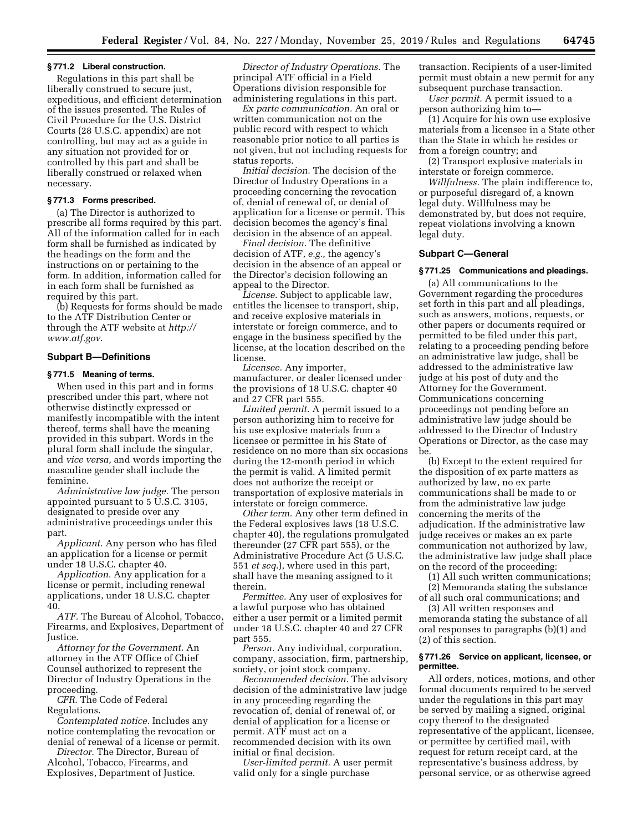### **§ 771.2 Liberal construction.**

Regulations in this part shall be liberally construed to secure just, expeditious, and efficient determination of the issues presented. The Rules of Civil Procedure for the U.S. District Courts (28 U.S.C. appendix) are not controlling, but may act as a guide in any situation not provided for or controlled by this part and shall be liberally construed or relaxed when necessary.

## **§ 771.3 Forms prescribed.**

(a) The Director is authorized to prescribe all forms required by this part. All of the information called for in each form shall be furnished as indicated by the headings on the form and the instructions on or pertaining to the form. In addition, information called for in each form shall be furnished as required by this part.

(b) Requests for forms should be made to the ATF Distribution Center or through the ATF website at *[http://](http://www.atf.gov) [www.atf.gov](http://www.atf.gov)*.

## **Subpart B—Definitions**

## **§ 771.5 Meaning of terms.**

When used in this part and in forms prescribed under this part, where not otherwise distinctly expressed or manifestly incompatible with the intent thereof, terms shall have the meaning provided in this subpart. Words in the plural form shall include the singular, and *vice versa,* and words importing the masculine gender shall include the feminine.

*Administrative law judge.* The person appointed pursuant to 5 U.S.C. 3105, designated to preside over any administrative proceedings under this part.

*Applicant.* Any person who has filed an application for a license or permit under 18 U.S.C. chapter 40.

*Application.* Any application for a license or permit, including renewal applications, under 18 U.S.C. chapter 40.

*ATF.* The Bureau of Alcohol, Tobacco, Firearms, and Explosives, Department of Justice.

*Attorney for the Government.* An attorney in the ATF Office of Chief Counsel authorized to represent the Director of Industry Operations in the proceeding.

*CFR.* The Code of Federal Regulations.

*Contemplated notice.* Includes any notice contemplating the revocation or denial of renewal of a license or permit.

*Director.* The Director, Bureau of Alcohol, Tobacco, Firearms, and Explosives, Department of Justice.

*Director of Industry Operations.* The principal ATF official in a Field Operations division responsible for administering regulations in this part.

*Ex parte communication.* An oral or written communication not on the public record with respect to which reasonable prior notice to all parties is not given, but not including requests for status reports.

*Initial decision.* The decision of the Director of Industry Operations in a proceeding concerning the revocation of, denial of renewal of, or denial of application for a license or permit. This decision becomes the agency's final decision in the absence of an appeal.

*Final decision.* The definitive decision of ATF, *e.g.,* the agency's decision in the absence of an appeal or the Director's decision following an appeal to the Director.

*License.* Subject to applicable law, entitles the licensee to transport, ship, and receive explosive materials in interstate or foreign commerce, and to engage in the business specified by the license, at the location described on the license.

*Licensee.* Any importer, manufacturer, or dealer licensed under the provisions of 18 U.S.C. chapter 40 and 27 CFR part 555.

*Limited permit.* A permit issued to a person authorizing him to receive for his use explosive materials from a licensee or permittee in his State of residence on no more than six occasions during the 12-month period in which the permit is valid. A limited permit does not authorize the receipt or transportation of explosive materials in interstate or foreign commerce.

*Other term.* Any other term defined in the Federal explosives laws (18 U.S.C. chapter 40), the regulations promulgated thereunder (27 CFR part 555), or the Administrative Procedure Act (5 U.S.C. 551 *et seq.*), where used in this part, shall have the meaning assigned to it therein.

*Permittee.* Any user of explosives for a lawful purpose who has obtained either a user permit or a limited permit under 18 U.S.C. chapter 40 and 27 CFR part 555.

*Person.* Any individual, corporation, company, association, firm, partnership, society, or joint stock company.

*Recommended decision.* The advisory decision of the administrative law judge in any proceeding regarding the revocation of, denial of renewal of, or denial of application for a license or permit. ATF must act on a recommended decision with its own initial or final decision.

*User-limited permit.* A user permit valid only for a single purchase

transaction. Recipients of a user-limited permit must obtain a new permit for any subsequent purchase transaction.

*User permit.* A permit issued to a person authorizing him to—

(1) Acquire for his own use explosive materials from a licensee in a State other than the State in which he resides or from a foreign country; and

(2) Transport explosive materials in interstate or foreign commerce.

*Willfulness.* The plain indifference to, or purposeful disregard of, a known legal duty. Willfulness may be demonstrated by, but does not require, repeat violations involving a known legal duty.

### **Subpart C—General**

# **§ 771.25 Communications and pleadings.**

(a) All communications to the Government regarding the procedures set forth in this part and all pleadings, such as answers, motions, requests, or other papers or documents required or permitted to be filed under this part, relating to a proceeding pending before an administrative law judge, shall be addressed to the administrative law judge at his post of duty and the Attorney for the Government. Communications concerning proceedings not pending before an administrative law judge should be addressed to the Director of Industry Operations or Director, as the case may be.

(b) Except to the extent required for the disposition of ex parte matters as authorized by law, no ex parte communications shall be made to or from the administrative law judge concerning the merits of the adjudication. If the administrative law judge receives or makes an ex parte communication not authorized by law, the administrative law judge shall place on the record of the proceeding:

(1) All such written communications; (2) Memoranda stating the substance of all such oral communications; and

(3) All written responses and memoranda stating the substance of all oral responses to paragraphs (b)(1) and (2) of this section.

### **§ 771.26 Service on applicant, licensee, or permittee.**

All orders, notices, motions, and other formal documents required to be served under the regulations in this part may be served by mailing a signed, original copy thereof to the designated representative of the applicant, licensee, or permittee by certified mail, with request for return receipt card, at the representative's business address, by personal service, or as otherwise agreed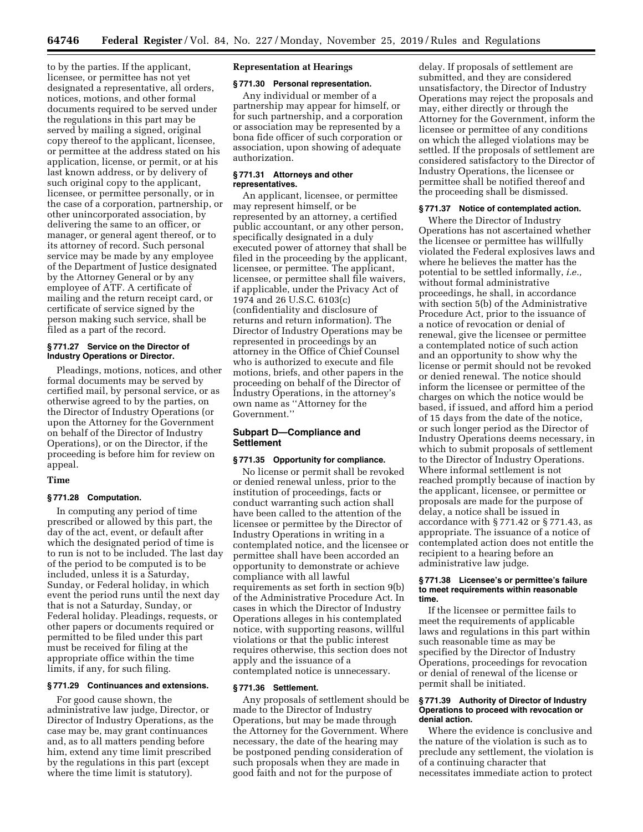to by the parties. If the applicant, licensee, or permittee has not yet designated a representative, all orders, notices, motions, and other formal documents required to be served under the regulations in this part may be served by mailing a signed, original copy thereof to the applicant, licensee, or permittee at the address stated on his application, license, or permit, or at his last known address, or by delivery of such original copy to the applicant, licensee, or permittee personally, or in the case of a corporation, partnership, or other unincorporated association, by delivering the same to an officer, or manager, or general agent thereof, or to its attorney of record. Such personal service may be made by any employee of the Department of Justice designated by the Attorney General or by any employee of ATF. A certificate of mailing and the return receipt card, or certificate of service signed by the person making such service, shall be filed as a part of the record.

## **§ 771.27 Service on the Director of Industry Operations or Director.**

Pleadings, motions, notices, and other formal documents may be served by certified mail, by personal service, or as otherwise agreed to by the parties, on the Director of Industry Operations (or upon the Attorney for the Government on behalf of the Director of Industry Operations), or on the Director, if the proceeding is before him for review on appeal.

# **Time**

# **§ 771.28 Computation.**

In computing any period of time prescribed or allowed by this part, the day of the act, event, or default after which the designated period of time is to run is not to be included. The last day of the period to be computed is to be included, unless it is a Saturday, Sunday, or Federal holiday, in which event the period runs until the next day that is not a Saturday, Sunday, or Federal holiday. Pleadings, requests, or other papers or documents required or permitted to be filed under this part must be received for filing at the appropriate office within the time limits, if any, for such filing.

# **§ 771.29 Continuances and extensions.**

For good cause shown, the administrative law judge, Director, or Director of Industry Operations, as the case may be, may grant continuances and, as to all matters pending before him, extend any time limit prescribed by the regulations in this part (except where the time limit is statutory).

### **Representation at Hearings**

# **§ 771.30 Personal representation.**

Any individual or member of a partnership may appear for himself, or for such partnership, and a corporation or association may be represented by a bona fide officer of such corporation or association, upon showing of adequate authorization.

#### **§ 771.31 Attorneys and other representatives.**

An applicant, licensee, or permittee may represent himself, or be represented by an attorney, a certified public accountant, or any other person, specifically designated in a duly executed power of attorney that shall be filed in the proceeding by the applicant, licensee, or permittee. The applicant, licensee, or permittee shall file waivers, if applicable, under the Privacy Act of 1974 and 26 U.S.C. 6103(c) (confidentiality and disclosure of returns and return information). The Director of Industry Operations may be represented in proceedings by an attorney in the Office of Chief Counsel who is authorized to execute and file motions, briefs, and other papers in the proceeding on behalf of the Director of Industry Operations, in the attorney's own name as ''Attorney for the Government.''

## **Subpart D—Compliance and Settlement**

## **§ 771.35 Opportunity for compliance.**

No license or permit shall be revoked or denied renewal unless, prior to the institution of proceedings, facts or conduct warranting such action shall have been called to the attention of the licensee or permittee by the Director of Industry Operations in writing in a contemplated notice, and the licensee or permittee shall have been accorded an opportunity to demonstrate or achieve compliance with all lawful requirements as set forth in section 9(b) of the Administrative Procedure Act. In cases in which the Director of Industry Operations alleges in his contemplated notice, with supporting reasons, willful violations or that the public interest requires otherwise, this section does not apply and the issuance of a contemplated notice is unnecessary.

# **§ 771.36 Settlement.**

Any proposals of settlement should be made to the Director of Industry Operations, but may be made through the Attorney for the Government. Where necessary, the date of the hearing may be postponed pending consideration of such proposals when they are made in good faith and not for the purpose of

delay. If proposals of settlement are submitted, and they are considered unsatisfactory, the Director of Industry Operations may reject the proposals and may, either directly or through the Attorney for the Government, inform the licensee or permittee of any conditions on which the alleged violations may be settled. If the proposals of settlement are considered satisfactory to the Director of Industry Operations, the licensee or permittee shall be notified thereof and the proceeding shall be dismissed.

#### **§ 771.37 Notice of contemplated action.**

Where the Director of Industry Operations has not ascertained whether the licensee or permittee has willfully violated the Federal explosives laws and where he believes the matter has the potential to be settled informally, *i.e.,*  without formal administrative proceedings, he shall, in accordance with section 5(b) of the Administrative Procedure Act, prior to the issuance of a notice of revocation or denial of renewal, give the licensee or permittee a contemplated notice of such action and an opportunity to show why the license or permit should not be revoked or denied renewal. The notice should inform the licensee or permittee of the charges on which the notice would be based, if issued, and afford him a period of 15 days from the date of the notice, or such longer period as the Director of Industry Operations deems necessary, in which to submit proposals of settlement to the Director of Industry Operations. Where informal settlement is not reached promptly because of inaction by the applicant, licensee, or permittee or proposals are made for the purpose of delay, a notice shall be issued in accordance with § 771.42 or § 771.43, as appropriate. The issuance of a notice of contemplated action does not entitle the recipient to a hearing before an administrative law judge.

#### **§ 771.38 Licensee's or permittee's failure to meet requirements within reasonable time.**

If the licensee or permittee fails to meet the requirements of applicable laws and regulations in this part within such reasonable time as may be specified by the Director of Industry Operations, proceedings for revocation or denial of renewal of the license or permit shall be initiated.

#### **§ 771.39 Authority of Director of Industry Operations to proceed with revocation or denial action.**

Where the evidence is conclusive and the nature of the violation is such as to preclude any settlement, the violation is of a continuing character that necessitates immediate action to protect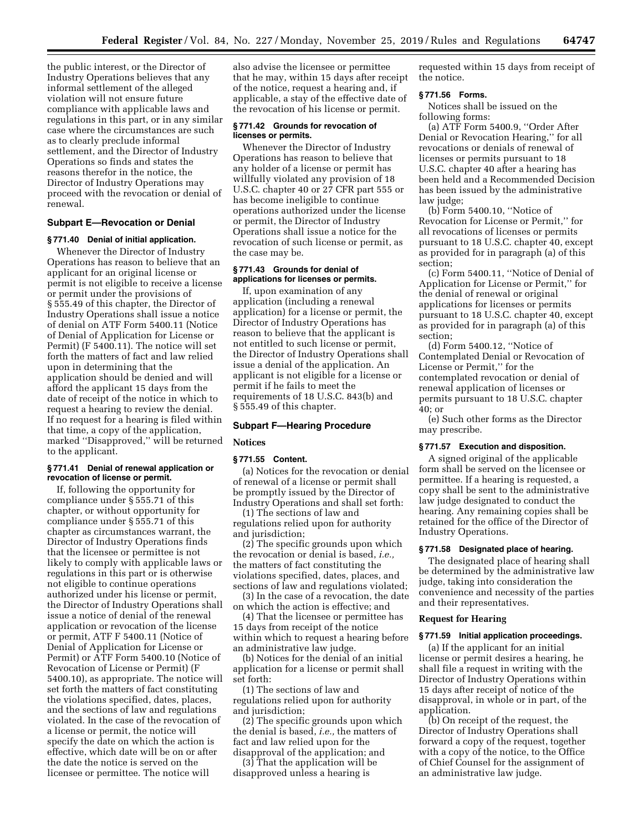the public interest, or the Director of Industry Operations believes that any informal settlement of the alleged violation will not ensure future compliance with applicable laws and regulations in this part, or in any similar case where the circumstances are such as to clearly preclude informal settlement, and the Director of Industry Operations so finds and states the reasons therefor in the notice, the Director of Industry Operations may proceed with the revocation or denial of renewal.

## **Subpart E—Revocation or Denial**

#### **§ 771.40 Denial of initial application.**

Whenever the Director of Industry Operations has reason to believe that an applicant for an original license or permit is not eligible to receive a license or permit under the provisions of § 555.49 of this chapter, the Director of Industry Operations shall issue a notice of denial on ATF Form 5400.11 (Notice of Denial of Application for License or Permit) (F 5400.11). The notice will set forth the matters of fact and law relied upon in determining that the application should be denied and will afford the applicant 15 days from the date of receipt of the notice in which to request a hearing to review the denial. If no request for a hearing is filed within that time, a copy of the application, marked ''Disapproved,'' will be returned to the applicant.

## **§ 771.41 Denial of renewal application or revocation of license or permit.**

If, following the opportunity for compliance under § 555.71 of this chapter, or without opportunity for compliance under § 555.71 of this chapter as circumstances warrant, the Director of Industry Operations finds that the licensee or permittee is not likely to comply with applicable laws or regulations in this part or is otherwise not eligible to continue operations authorized under his license or permit, the Director of Industry Operations shall issue a notice of denial of the renewal application or revocation of the license or permit, ATF F 5400.11 (Notice of Denial of Application for License or Permit) or ATF Form 5400.10 (Notice of Revocation of License or Permit) (F 5400.10), as appropriate. The notice will set forth the matters of fact constituting the violations specified, dates, places, and the sections of law and regulations violated. In the case of the revocation of a license or permit, the notice will specify the date on which the action is effective, which date will be on or after the date the notice is served on the licensee or permittee. The notice will

also advise the licensee or permittee that he may, within 15 days after receipt of the notice, request a hearing and, if applicable, a stay of the effective date of the revocation of his license or permit.

#### **§ 771.42 Grounds for revocation of licenses or permits.**

Whenever the Director of Industry Operations has reason to believe that any holder of a license or permit has willfully violated any provision of 18 U.S.C. chapter 40 or 27 CFR part 555 or has become ineligible to continue operations authorized under the license or permit, the Director of Industry Operations shall issue a notice for the revocation of such license or permit, as the case may be.

# **§ 771.43 Grounds for denial of applications for licenses or permits.**

If, upon examination of any application (including a renewal application) for a license or permit, the Director of Industry Operations has reason to believe that the applicant is not entitled to such license or permit, the Director of Industry Operations shall issue a denial of the application. An applicant is not eligible for a license or permit if he fails to meet the requirements of 18 U.S.C. 843(b) and § 555.49 of this chapter.

# **Subpart F—Hearing Procedure**

## **Notices**

#### **§ 771.55 Content.**

(a) Notices for the revocation or denial of renewal of a license or permit shall be promptly issued by the Director of Industry Operations and shall set forth:

(1) The sections of law and regulations relied upon for authority and jurisdiction;

(2) The specific grounds upon which the revocation or denial is based, *i.e.,*  the matters of fact constituting the violations specified, dates, places, and sections of law and regulations violated;

(3) In the case of a revocation, the date on which the action is effective; and

(4) That the licensee or permittee has 15 days from receipt of the notice within which to request a hearing before an administrative law judge.

(b) Notices for the denial of an initial application for a license or permit shall set forth:

(1) The sections of law and regulations relied upon for authority and jurisdiction;

(2) The specific grounds upon which the denial is based, *i.e.,* the matters of fact and law relied upon for the disapproval of the application; and

(3) That the application will be disapproved unless a hearing is

requested within 15 days from receipt of the notice.

## **§ 771.56 Forms.**

Notices shall be issued on the following forms:

(a) ATF Form 5400.9, ''Order After Denial or Revocation Hearing,'' for all revocations or denials of renewal of licenses or permits pursuant to 18 U.S.C. chapter 40 after a hearing has been held and a Recommended Decision has been issued by the administrative law judge;

(b) Form 5400.10, ''Notice of Revocation for License or Permit,'' for all revocations of licenses or permits pursuant to 18 U.S.C. chapter 40, except as provided for in paragraph (a) of this section;

(c) Form 5400.11, ''Notice of Denial of Application for License or Permit,'' for the denial of renewal or original applications for licenses or permits pursuant to 18 U.S.C. chapter 40, except as provided for in paragraph (a) of this section;

(d) Form 5400.12, ''Notice of Contemplated Denial or Revocation of License or Permit,'' for the contemplated revocation or denial of renewal application of licenses or permits pursuant to 18 U.S.C. chapter 40; or

(e) Such other forms as the Director may prescribe.

# **§ 771.57 Execution and disposition.**

A signed original of the applicable form shall be served on the licensee or permittee. If a hearing is requested, a copy shall be sent to the administrative law judge designated to conduct the hearing. Any remaining copies shall be retained for the office of the Director of Industry Operations.

## **§ 771.58 Designated place of hearing.**

The designated place of hearing shall be determined by the administrative law judge, taking into consideration the convenience and necessity of the parties and their representatives.

## **Request for Hearing**

### **§ 771.59 Initial application proceedings.**

(a) If the applicant for an initial license or permit desires a hearing, he shall file a request in writing with the Director of Industry Operations within 15 days after receipt of notice of the disapproval, in whole or in part, of the application.

(b) On receipt of the request, the Director of Industry Operations shall forward a copy of the request, together with a copy of the notice, to the Office of Chief Counsel for the assignment of an administrative law judge.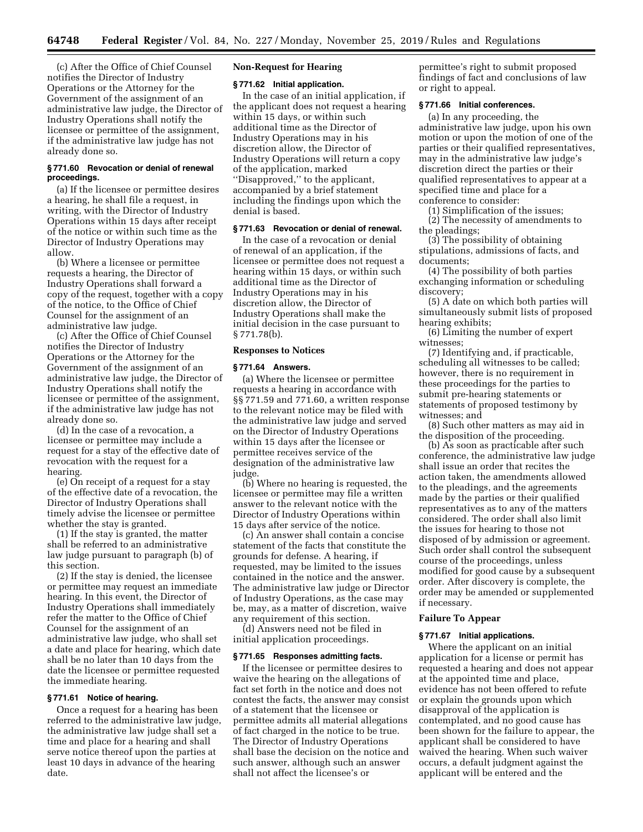(c) After the Office of Chief Counsel notifies the Director of Industry Operations or the Attorney for the Government of the assignment of an administrative law judge, the Director of Industry Operations shall notify the licensee or permittee of the assignment, if the administrative law judge has not already done so.

# **§ 771.60 Revocation or denial of renewal proceedings.**

(a) If the licensee or permittee desires a hearing, he shall file a request, in writing, with the Director of Industry Operations within 15 days after receipt of the notice or within such time as the Director of Industry Operations may allow.

(b) Where a licensee or permittee requests a hearing, the Director of Industry Operations shall forward a copy of the request, together with a copy of the notice, to the Office of Chief Counsel for the assignment of an administrative law judge.

(c) After the Office of Chief Counsel notifies the Director of Industry Operations or the Attorney for the Government of the assignment of an administrative law judge, the Director of Industry Operations shall notify the licensee or permittee of the assignment, if the administrative law judge has not already done so.

(d) In the case of a revocation, a licensee or permittee may include a request for a stay of the effective date of revocation with the request for a hearing.

(e) On receipt of a request for a stay of the effective date of a revocation, the Director of Industry Operations shall timely advise the licensee or permittee whether the stay is granted.

(1) If the stay is granted, the matter shall be referred to an administrative law judge pursuant to paragraph (b) of this section.

(2) If the stay is denied, the licensee or permittee may request an immediate hearing. In this event, the Director of Industry Operations shall immediately refer the matter to the Office of Chief Counsel for the assignment of an administrative law judge, who shall set a date and place for hearing, which date shall be no later than 10 days from the date the licensee or permittee requested the immediate hearing.

## **§ 771.61 Notice of hearing.**

Once a request for a hearing has been referred to the administrative law judge, the administrative law judge shall set a time and place for a hearing and shall serve notice thereof upon the parties at least 10 days in advance of the hearing date.

## **Non-Request for Hearing**

# **§ 771.62 Initial application.**

In the case of an initial application, if the applicant does not request a hearing within 15 days, or within such additional time as the Director of Industry Operations may in his discretion allow, the Director of Industry Operations will return a copy of the application, marked ''Disapproved,'' to the applicant, accompanied by a brief statement including the findings upon which the denial is based.

# **§ 771.63 Revocation or denial of renewal.**

In the case of a revocation or denial of renewal of an application, if the licensee or permittee does not request a hearing within 15 days, or within such additional time as the Director of Industry Operations may in his discretion allow, the Director of Industry Operations shall make the initial decision in the case pursuant to § 771.78(b).

### **Responses to Notices**

#### **§ 771.64 Answers.**

(a) Where the licensee or permittee requests a hearing in accordance with §§ 771.59 and 771.60, a written response to the relevant notice may be filed with the administrative law judge and served on the Director of Industry Operations within 15 days after the licensee or permittee receives service of the designation of the administrative law judge.

(b) Where no hearing is requested, the licensee or permittee may file a written answer to the relevant notice with the Director of Industry Operations within 15 days after service of the notice.

(c) An answer shall contain a concise statement of the facts that constitute the grounds for defense. A hearing, if requested, may be limited to the issues contained in the notice and the answer. The administrative law judge or Director of Industry Operations, as the case may be, may, as a matter of discretion, waive any requirement of this section.

(d) Answers need not be filed in initial application proceedings.

### **§ 771.65 Responses admitting facts.**

If the licensee or permittee desires to waive the hearing on the allegations of fact set forth in the notice and does not contest the facts, the answer may consist of a statement that the licensee or permittee admits all material allegations of fact charged in the notice to be true. The Director of Industry Operations shall base the decision on the notice and such answer, although such an answer shall not affect the licensee's or

permittee's right to submit proposed findings of fact and conclusions of law or right to appeal.

# **§ 771.66 Initial conferences.**

(a) In any proceeding, the administrative law judge, upon his own motion or upon the motion of one of the parties or their qualified representatives, may in the administrative law judge's discretion direct the parties or their qualified representatives to appear at a specified time and place for a conference to consider:

(1) Simplification of the issues;

(2) The necessity of amendments to the pleadings;

(3) The possibility of obtaining stipulations, admissions of facts, and documents;

(4) The possibility of both parties exchanging information or scheduling discovery;

(5) A date on which both parties will simultaneously submit lists of proposed hearing exhibits;

(6) Limiting the number of expert witnesses;

(7) Identifying and, if practicable, scheduling all witnesses to be called; however, there is no requirement in these proceedings for the parties to submit pre-hearing statements or statements of proposed testimony by witnesses; and

(8) Such other matters as may aid in the disposition of the proceeding.

(b) As soon as practicable after such conference, the administrative law judge shall issue an order that recites the action taken, the amendments allowed to the pleadings, and the agreements made by the parties or their qualified representatives as to any of the matters considered. The order shall also limit the issues for hearing to those not disposed of by admission or agreement. Such order shall control the subsequent course of the proceedings, unless modified for good cause by a subsequent order. After discovery is complete, the order may be amended or supplemented if necessary.

## **Failure To Appear**

### **§ 771.67 Initial applications.**

Where the applicant on an initial application for a license or permit has requested a hearing and does not appear at the appointed time and place, evidence has not been offered to refute or explain the grounds upon which disapproval of the application is contemplated, and no good cause has been shown for the failure to appear, the applicant shall be considered to have waived the hearing. When such waiver occurs, a default judgment against the applicant will be entered and the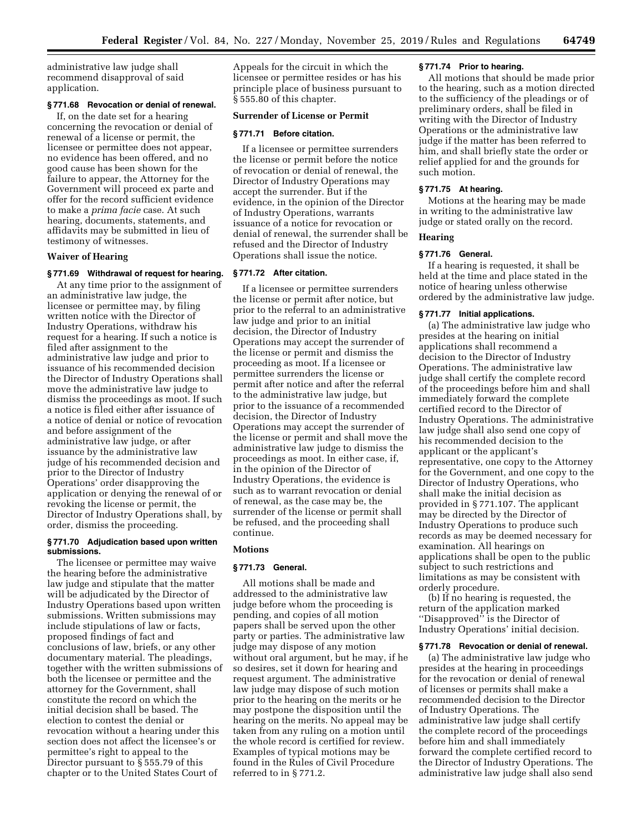administrative law judge shall recommend disapproval of said application.

# **§ 771.68 Revocation or denial of renewal.**

If, on the date set for a hearing concerning the revocation or denial of renewal of a license or permit, the licensee or permittee does not appear, no evidence has been offered, and no good cause has been shown for the failure to appear, the Attorney for the Government will proceed ex parte and offer for the record sufficient evidence to make a *prima facie* case. At such hearing, documents, statements, and affidavits may be submitted in lieu of testimony of witnesses.

#### **Waiver of Hearing**

## **§ 771.69 Withdrawal of request for hearing.**

At any time prior to the assignment of an administrative law judge, the licensee or permittee may, by filing written notice with the Director of Industry Operations, withdraw his request for a hearing. If such a notice is filed after assignment to the administrative law judge and prior to issuance of his recommended decision the Director of Industry Operations shall move the administrative law judge to dismiss the proceedings as moot. If such a notice is filed either after issuance of a notice of denial or notice of revocation and before assignment of the administrative law judge, or after issuance by the administrative law judge of his recommended decision and prior to the Director of Industry Operations' order disapproving the application or denying the renewal of or revoking the license or permit, the Director of Industry Operations shall, by order, dismiss the proceeding.

## **§ 771.70 Adjudication based upon written submissions.**

The licensee or permittee may waive the hearing before the administrative law judge and stipulate that the matter will be adjudicated by the Director of Industry Operations based upon written submissions. Written submissions may include stipulations of law or facts, proposed findings of fact and conclusions of law, briefs, or any other documentary material. The pleadings, together with the written submissions of both the licensee or permittee and the attorney for the Government, shall constitute the record on which the initial decision shall be based. The election to contest the denial or revocation without a hearing under this section does not affect the licensee's or permittee's right to appeal to the Director pursuant to § 555.79 of this chapter or to the United States Court of

Appeals for the circuit in which the licensee or permittee resides or has his principle place of business pursuant to § 555.80 of this chapter.

### **Surrender of License or Permit**

### **§ 771.71 Before citation.**

If a licensee or permittee surrenders the license or permit before the notice of revocation or denial of renewal, the Director of Industry Operations may accept the surrender. But if the evidence, in the opinion of the Director of Industry Operations, warrants issuance of a notice for revocation or denial of renewal, the surrender shall be refused and the Director of Industry Operations shall issue the notice.

#### **§ 771.72 After citation.**

If a licensee or permittee surrenders the license or permit after notice, but prior to the referral to an administrative law judge and prior to an initial decision, the Director of Industry Operations may accept the surrender of the license or permit and dismiss the proceeding as moot. If a licensee or permittee surrenders the license or permit after notice and after the referral to the administrative law judge, but prior to the issuance of a recommended decision, the Director of Industry Operations may accept the surrender of the license or permit and shall move the administrative law judge to dismiss the proceedings as moot. In either case, if, in the opinion of the Director of Industry Operations, the evidence is such as to warrant revocation or denial of renewal, as the case may be, the surrender of the license or permit shall be refused, and the proceeding shall continue.

## **Motions**

## **§ 771.73 General.**

All motions shall be made and addressed to the administrative law judge before whom the proceeding is pending, and copies of all motion papers shall be served upon the other party or parties. The administrative law judge may dispose of any motion without oral argument, but he may, if he so desires, set it down for hearing and request argument. The administrative law judge may dispose of such motion prior to the hearing on the merits or he may postpone the disposition until the hearing on the merits. No appeal may be taken from any ruling on a motion until the whole record is certified for review. Examples of typical motions may be found in the Rules of Civil Procedure referred to in § 771.2.

## **§ 771.74 Prior to hearing.**

All motions that should be made prior to the hearing, such as a motion directed to the sufficiency of the pleadings or of preliminary orders, shall be filed in writing with the Director of Industry Operations or the administrative law judge if the matter has been referred to him, and shall briefly state the order or relief applied for and the grounds for such motion.

## **§ 771.75 At hearing.**

Motions at the hearing may be made in writing to the administrative law judge or stated orally on the record.

## **Hearing**

#### **§ 771.76 General.**

If a hearing is requested, it shall be held at the time and place stated in the notice of hearing unless otherwise ordered by the administrative law judge.

#### **§ 771.77 Initial applications.**

(a) The administrative law judge who presides at the hearing on initial applications shall recommend a decision to the Director of Industry Operations. The administrative law judge shall certify the complete record of the proceedings before him and shall immediately forward the complete certified record to the Director of Industry Operations. The administrative law judge shall also send one copy of his recommended decision to the applicant or the applicant's representative, one copy to the Attorney for the Government, and one copy to the Director of Industry Operations, who shall make the initial decision as provided in § 771.107. The applicant may be directed by the Director of Industry Operations to produce such records as may be deemed necessary for examination. All hearings on applications shall be open to the public subject to such restrictions and limitations as may be consistent with orderly procedure.

(b) If no hearing is requested, the return of the application marked ''Disapproved'' is the Director of Industry Operations' initial decision.

#### **§ 771.78 Revocation or denial of renewal.**

(a) The administrative law judge who presides at the hearing in proceedings for the revocation or denial of renewal of licenses or permits shall make a recommended decision to the Director of Industry Operations. The administrative law judge shall certify the complete record of the proceedings before him and shall immediately forward the complete certified record to the Director of Industry Operations. The administrative law judge shall also send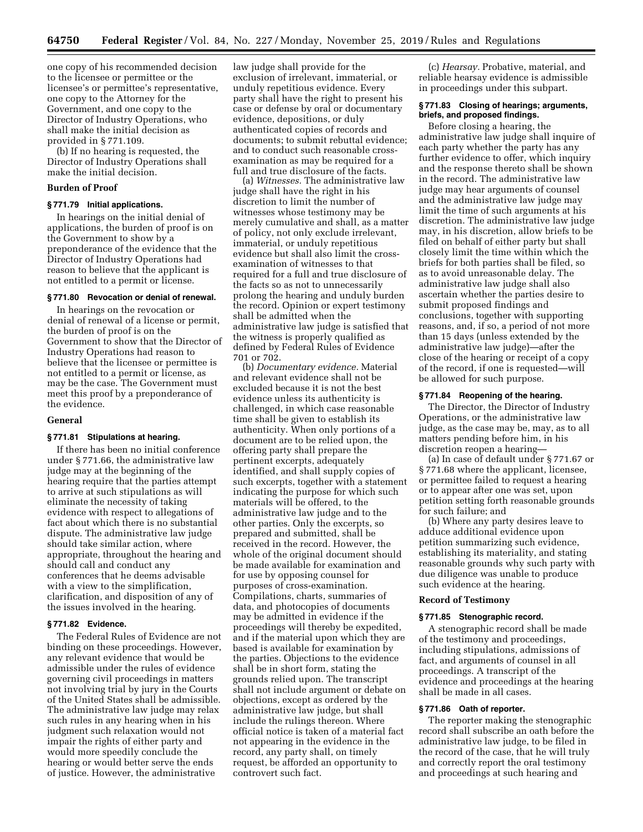one copy of his recommended decision to the licensee or permittee or the licensee's or permittee's representative, one copy to the Attorney for the Government, and one copy to the Director of Industry Operations, who shall make the initial decision as provided in § 771.109.

(b) If no hearing is requested, the Director of Industry Operations shall make the initial decision.

## **Burden of Proof**

### **§ 771.79 Initial applications.**

In hearings on the initial denial of applications, the burden of proof is on the Government to show by a preponderance of the evidence that the Director of Industry Operations had reason to believe that the applicant is not entitled to a permit or license.

# **§ 771.80 Revocation or denial of renewal.**

In hearings on the revocation or denial of renewal of a license or permit, the burden of proof is on the Government to show that the Director of Industry Operations had reason to believe that the licensee or permittee is not entitled to a permit or license, as may be the case. The Government must meet this proof by a preponderance of the evidence.

#### **General**

## **§ 771.81 Stipulations at hearing.**

If there has been no initial conference under § 771.66, the administrative law judge may at the beginning of the hearing require that the parties attempt to arrive at such stipulations as will eliminate the necessity of taking evidence with respect to allegations of fact about which there is no substantial dispute. The administrative law judge should take similar action, where appropriate, throughout the hearing and should call and conduct any conferences that he deems advisable with a view to the simplification, clarification, and disposition of any of the issues involved in the hearing.

## **§ 771.82 Evidence.**

The Federal Rules of Evidence are not binding on these proceedings. However, any relevant evidence that would be admissible under the rules of evidence governing civil proceedings in matters not involving trial by jury in the Courts of the United States shall be admissible. The administrative law judge may relax such rules in any hearing when in his judgment such relaxation would not impair the rights of either party and would more speedily conclude the hearing or would better serve the ends of justice. However, the administrative

law judge shall provide for the exclusion of irrelevant, immaterial, or unduly repetitious evidence. Every party shall have the right to present his case or defense by oral or documentary evidence, depositions, or duly authenticated copies of records and documents; to submit rebuttal evidence; and to conduct such reasonable crossexamination as may be required for a full and true disclosure of the facts.

(a) *Witnesses.* The administrative law judge shall have the right in his discretion to limit the number of witnesses whose testimony may be merely cumulative and shall, as a matter of policy, not only exclude irrelevant, immaterial, or unduly repetitious evidence but shall also limit the crossexamination of witnesses to that required for a full and true disclosure of the facts so as not to unnecessarily prolong the hearing and unduly burden the record. Opinion or expert testimony shall be admitted when the administrative law judge is satisfied that the witness is properly qualified as defined by Federal Rules of Evidence 701 or 702.

(b) *Documentary evidence.* Material and relevant evidence shall not be excluded because it is not the best evidence unless its authenticity is challenged, in which case reasonable time shall be given to establish its authenticity. When only portions of a document are to be relied upon, the offering party shall prepare the pertinent excerpts, adequately identified, and shall supply copies of such excerpts, together with a statement indicating the purpose for which such materials will be offered, to the administrative law judge and to the other parties. Only the excerpts, so prepared and submitted, shall be received in the record. However, the whole of the original document should be made available for examination and for use by opposing counsel for purposes of cross-examination. Compilations, charts, summaries of data, and photocopies of documents may be admitted in evidence if the proceedings will thereby be expedited, and if the material upon which they are based is available for examination by the parties. Objections to the evidence shall be in short form, stating the grounds relied upon. The transcript shall not include argument or debate on objections, except as ordered by the administrative law judge, but shall include the rulings thereon. Where official notice is taken of a material fact not appearing in the evidence in the record, any party shall, on timely request, be afforded an opportunity to controvert such fact.

(c) *Hearsay.* Probative, material, and reliable hearsay evidence is admissible in proceedings under this subpart.

## **§ 771.83 Closing of hearings; arguments, briefs, and proposed findings.**

Before closing a hearing, the administrative law judge shall inquire of each party whether the party has any further evidence to offer, which inquiry and the response thereto shall be shown in the record. The administrative law judge may hear arguments of counsel and the administrative law judge may limit the time of such arguments at his discretion. The administrative law judge may, in his discretion, allow briefs to be filed on behalf of either party but shall closely limit the time within which the briefs for both parties shall be filed, so as to avoid unreasonable delay. The administrative law judge shall also ascertain whether the parties desire to submit proposed findings and conclusions, together with supporting reasons, and, if so, a period of not more than 15 days (unless extended by the administrative law judge)—after the close of the hearing or receipt of a copy of the record, if one is requested—will be allowed for such purpose.

#### **§ 771.84 Reopening of the hearing.**

The Director, the Director of Industry Operations, or the administrative law judge, as the case may be, may, as to all matters pending before him, in his discretion reopen a hearing—

(a) In case of default under § 771.67 or § 771.68 where the applicant, licensee, or permittee failed to request a hearing or to appear after one was set, upon petition setting forth reasonable grounds for such failure; and

(b) Where any party desires leave to adduce additional evidence upon petition summarizing such evidence, establishing its materiality, and stating reasonable grounds why such party with due diligence was unable to produce such evidence at the hearing.

#### **Record of Testimony**

#### **§ 771.85 Stenographic record.**

A stenographic record shall be made of the testimony and proceedings, including stipulations, admissions of fact, and arguments of counsel in all proceedings. A transcript of the evidence and proceedings at the hearing shall be made in all cases.

# **§ 771.86 Oath of reporter.**

The reporter making the stenographic record shall subscribe an oath before the administrative law judge, to be filed in the record of the case, that he will truly and correctly report the oral testimony and proceedings at such hearing and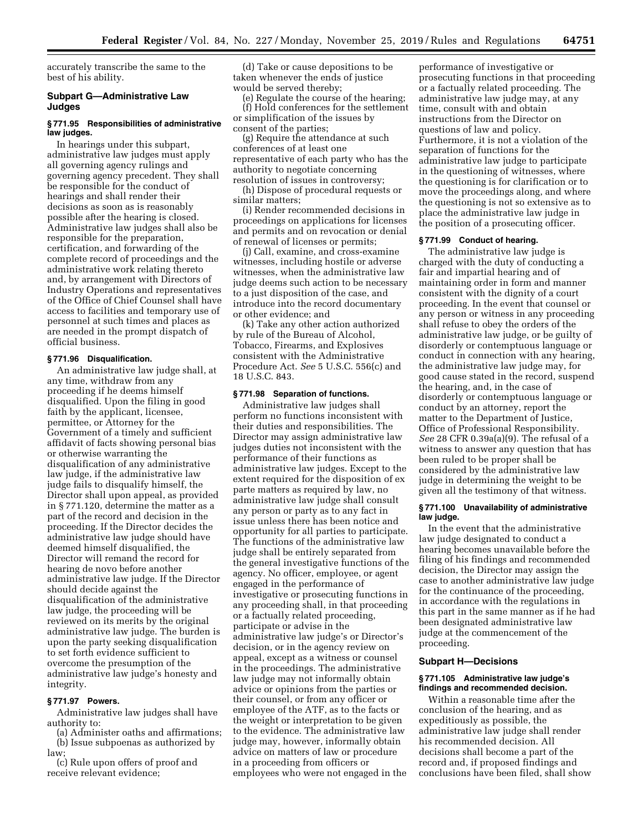accurately transcribe the same to the best of his ability.

## **Subpart G—Administrative Law Judges**

#### **§ 771.95 Responsibilities of administrative law judges.**

In hearings under this subpart, administrative law judges must apply all governing agency rulings and governing agency precedent. They shall be responsible for the conduct of hearings and shall render their decisions as soon as is reasonably possible after the hearing is closed. Administrative law judges shall also be responsible for the preparation, certification, and forwarding of the complete record of proceedings and the administrative work relating thereto and, by arrangement with Directors of Industry Operations and representatives of the Office of Chief Counsel shall have access to facilities and temporary use of personnel at such times and places as are needed in the prompt dispatch of official business.

# **§ 771.96 Disqualification.**

An administrative law judge shall, at any time, withdraw from any proceeding if he deems himself disqualified. Upon the filing in good faith by the applicant, licensee, permittee, or Attorney for the Government of a timely and sufficient affidavit of facts showing personal bias or otherwise warranting the disqualification of any administrative law judge, if the administrative law judge fails to disqualify himself, the Director shall upon appeal, as provided in § 771.120, determine the matter as a part of the record and decision in the proceeding. If the Director decides the administrative law judge should have deemed himself disqualified, the Director will remand the record for hearing de novo before another administrative law judge. If the Director should decide against the disqualification of the administrative law judge, the proceeding will be reviewed on its merits by the original administrative law judge. The burden is upon the party seeking disqualification to set forth evidence sufficient to overcome the presumption of the administrative law judge's honesty and integrity.

#### **§ 771.97 Powers.**

Administrative law judges shall have authority to:

(a) Administer oaths and affirmations; (b) Issue subpoenas as authorized by law;

(c) Rule upon offers of proof and receive relevant evidence;

(d) Take or cause depositions to be taken whenever the ends of justice would be served thereby;

(e) Regulate the course of the hearing; (f) Hold conferences for the settlement or simplification of the issues by consent of the parties;

(g) Require the attendance at such conferences of at least one representative of each party who has the authority to negotiate concerning resolution of issues in controversy;

(h) Dispose of procedural requests or similar matters;

(i) Render recommended decisions in proceedings on applications for licenses and permits and on revocation or denial of renewal of licenses or permits;

(j) Call, examine, and cross-examine witnesses, including hostile or adverse witnesses, when the administrative law judge deems such action to be necessary to a just disposition of the case, and introduce into the record documentary or other evidence; and

(k) Take any other action authorized by rule of the Bureau of Alcohol, Tobacco, Firearms, and Explosives consistent with the Administrative Procedure Act. *See* 5 U.S.C. 556(c) and 18 U.S.C. 843.

### **§ 771.98 Separation of functions.**

Administrative law judges shall perform no functions inconsistent with their duties and responsibilities. The Director may assign administrative law judges duties not inconsistent with the performance of their functions as administrative law judges. Except to the extent required for the disposition of ex parte matters as required by law, no administrative law judge shall consult any person or party as to any fact in issue unless there has been notice and opportunity for all parties to participate. The functions of the administrative law judge shall be entirely separated from the general investigative functions of the agency. No officer, employee, or agent engaged in the performance of investigative or prosecuting functions in any proceeding shall, in that proceeding or a factually related proceeding, participate or advise in the administrative law judge's or Director's decision, or in the agency review on appeal, except as a witness or counsel in the proceedings. The administrative law judge may not informally obtain advice or opinions from the parties or their counsel, or from any officer or employee of the ATF, as to the facts or the weight or interpretation to be given to the evidence. The administrative law judge may, however, informally obtain advice on matters of law or procedure in a proceeding from officers or employees who were not engaged in the

performance of investigative or prosecuting functions in that proceeding or a factually related proceeding. The administrative law judge may, at any time, consult with and obtain instructions from the Director on questions of law and policy. Furthermore, it is not a violation of the separation of functions for the administrative law judge to participate in the questioning of witnesses, where the questioning is for clarification or to move the proceedings along, and where the questioning is not so extensive as to place the administrative law judge in the position of a prosecuting officer.

#### **§ 771.99 Conduct of hearing.**

The administrative law judge is charged with the duty of conducting a fair and impartial hearing and of maintaining order in form and manner consistent with the dignity of a court proceeding. In the event that counsel or any person or witness in any proceeding shall refuse to obey the orders of the administrative law judge, or be guilty of disorderly or contemptuous language or conduct in connection with any hearing, the administrative law judge may, for good cause stated in the record, suspend the hearing, and, in the case of disorderly or contemptuous language or conduct by an attorney, report the matter to the Department of Justice, Office of Professional Responsibility. *See* 28 CFR 0.39a(a)(9). The refusal of a witness to answer any question that has been ruled to be proper shall be considered by the administrative law judge in determining the weight to be given all the testimony of that witness.

### **§ 771.100 Unavailability of administrative law judge.**

In the event that the administrative law judge designated to conduct a hearing becomes unavailable before the filing of his findings and recommended decision, the Director may assign the case to another administrative law judge for the continuance of the proceeding, in accordance with the regulations in this part in the same manner as if he had been designated administrative law judge at the commencement of the proceeding.

#### **Subpart H—Decisions**

#### **§ 771.105 Administrative law judge's findings and recommended decision.**

Within a reasonable time after the conclusion of the hearing, and as expeditiously as possible, the administrative law judge shall render his recommended decision. All decisions shall become a part of the record and, if proposed findings and conclusions have been filed, shall show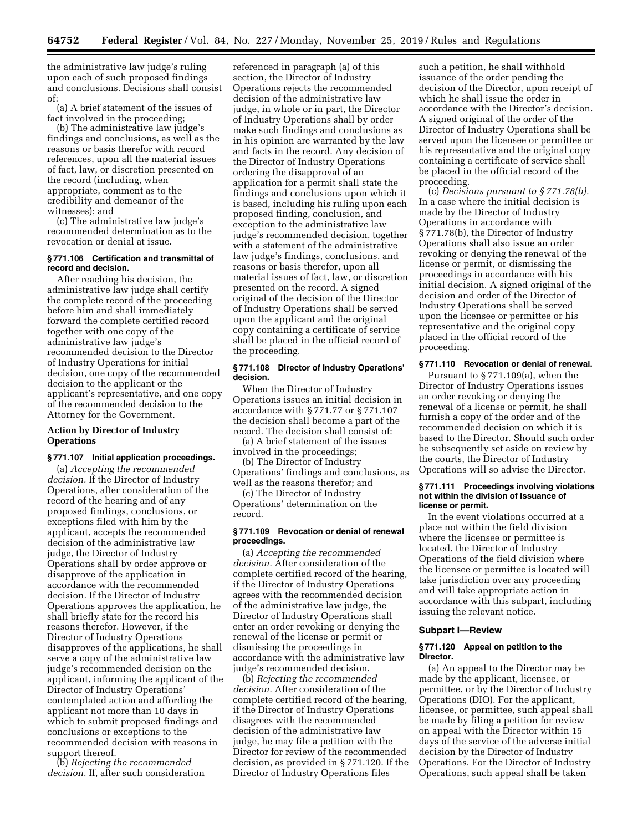the administrative law judge's ruling upon each of such proposed findings and conclusions. Decisions shall consist of:

(a) A brief statement of the issues of fact involved in the proceeding;

(b) The administrative law judge's findings and conclusions, as well as the reasons or basis therefor with record references, upon all the material issues of fact, law, or discretion presented on the record (including, when appropriate, comment as to the credibility and demeanor of the witnesses); and

(c) The administrative law judge's recommended determination as to the revocation or denial at issue.

## **§ 771.106 Certification and transmittal of record and decision.**

After reaching his decision, the administrative law judge shall certify the complete record of the proceeding before him and shall immediately forward the complete certified record together with one copy of the administrative law judge's recommended decision to the Director of Industry Operations for initial decision, one copy of the recommended decision to the applicant or the applicant's representative, and one copy of the recommended decision to the Attorney for the Government.

# **Action by Director of Industry Operations**

## **§ 771.107 Initial application proceedings.**

(a) *Accepting the recommended decision.* If the Director of Industry Operations, after consideration of the record of the hearing and of any proposed findings, conclusions, or exceptions filed with him by the applicant, accepts the recommended decision of the administrative law judge, the Director of Industry Operations shall by order approve or disapprove of the application in accordance with the recommended decision. If the Director of Industry Operations approves the application, he shall briefly state for the record his reasons therefor. However, if the Director of Industry Operations disapproves of the applications, he shall serve a copy of the administrative law judge's recommended decision on the applicant, informing the applicant of the Director of Industry Operations' contemplated action and affording the applicant not more than 10 days in which to submit proposed findings and conclusions or exceptions to the recommended decision with reasons in support thereof.

(b) *Rejecting the recommended decision.* If, after such consideration

referenced in paragraph (a) of this section, the Director of Industry Operations rejects the recommended decision of the administrative law judge, in whole or in part, the Director of Industry Operations shall by order make such findings and conclusions as in his opinion are warranted by the law and facts in the record. Any decision of the Director of Industry Operations ordering the disapproval of an application for a permit shall state the findings and conclusions upon which it is based, including his ruling upon each proposed finding, conclusion, and exception to the administrative law judge's recommended decision, together with a statement of the administrative law judge's findings, conclusions, and reasons or basis therefor, upon all material issues of fact, law, or discretion presented on the record. A signed original of the decision of the Director of Industry Operations shall be served upon the applicant and the original copy containing a certificate of service shall be placed in the official record of the proceeding.

### **§ 771.108 Director of Industry Operations' decision.**

When the Director of Industry Operations issues an initial decision in accordance with § 771.77 or § 771.107 the decision shall become a part of the record. The decision shall consist of:

(a) A brief statement of the issues involved in the proceedings;

(b) The Director of Industry Operations' findings and conclusions, as well as the reasons therefor; and

(c) The Director of Industry Operations' determination on the record.

## **§ 771.109 Revocation or denial of renewal proceedings.**

(a) *Accepting the recommended decision.* After consideration of the complete certified record of the hearing, if the Director of Industry Operations agrees with the recommended decision of the administrative law judge, the Director of Industry Operations shall enter an order revoking or denying the renewal of the license or permit or dismissing the proceedings in accordance with the administrative law judge's recommended decision.

(b) *Rejecting the recommended decision.* After consideration of the complete certified record of the hearing, if the Director of Industry Operations disagrees with the recommended decision of the administrative law judge, he may file a petition with the Director for review of the recommended decision, as provided in § 771.120. If the Director of Industry Operations files

such a petition, he shall withhold issuance of the order pending the decision of the Director, upon receipt of which he shall issue the order in accordance with the Director's decision. A signed original of the order of the Director of Industry Operations shall be served upon the licensee or permittee or his representative and the original copy containing a certificate of service shall be placed in the official record of the proceeding.

(c) *Decisions pursuant to § 771.78(b).*  In a case where the initial decision is made by the Director of Industry Operations in accordance with § 771.78(b), the Director of Industry Operations shall also issue an order revoking or denying the renewal of the license or permit, or dismissing the proceedings in accordance with his initial decision. A signed original of the decision and order of the Director of Industry Operations shall be served upon the licensee or permittee or his representative and the original copy placed in the official record of the proceeding.

# **§ 771.110 Revocation or denial of renewal.**

Pursuant to § 771.109(a), when the Director of Industry Operations issues an order revoking or denying the renewal of a license or permit, he shall furnish a copy of the order and of the recommended decision on which it is based to the Director. Should such order be subsequently set aside on review by the courts, the Director of Industry Operations will so advise the Director.

#### **§ 771.111 Proceedings involving violations not within the division of issuance of license or permit.**

In the event violations occurred at a place not within the field division where the licensee or permittee is located, the Director of Industry Operations of the field division where the licensee or permittee is located will take jurisdiction over any proceeding and will take appropriate action in accordance with this subpart, including issuing the relevant notice.

### **Subpart I—Review**

### **§ 771.120 Appeal on petition to the Director.**

(a) An appeal to the Director may be made by the applicant, licensee, or permittee, or by the Director of Industry Operations (DIO). For the applicant, licensee, or permittee, such appeal shall be made by filing a petition for review on appeal with the Director within 15 days of the service of the adverse initial decision by the Director of Industry Operations. For the Director of Industry Operations, such appeal shall be taken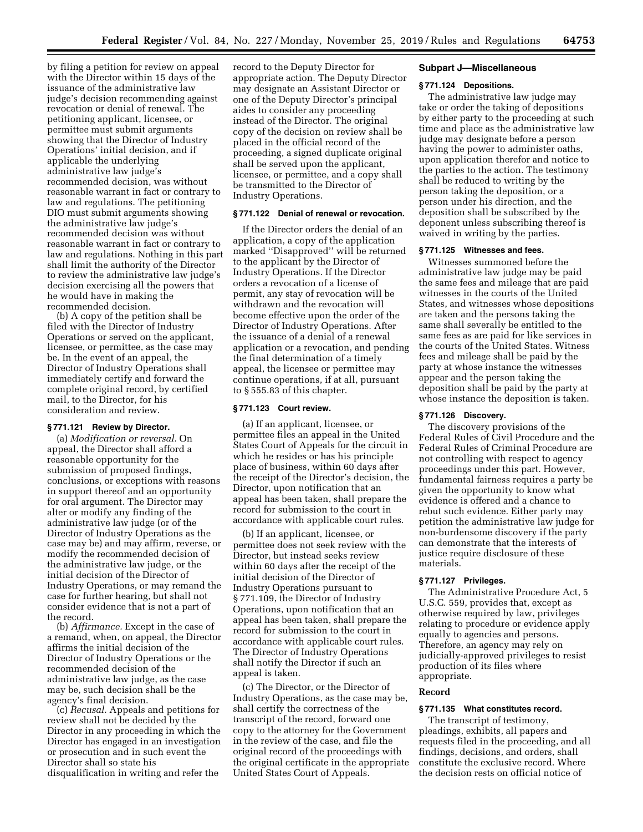by filing a petition for review on appeal with the Director within 15 days of the issuance of the administrative law judge's decision recommending against revocation or denial of renewal. The petitioning applicant, licensee, or permittee must submit arguments showing that the Director of Industry Operations' initial decision, and if applicable the underlying administrative law judge's recommended decision, was without reasonable warrant in fact or contrary to law and regulations. The petitioning DIO must submit arguments showing the administrative law judge's recommended decision was without reasonable warrant in fact or contrary to law and regulations. Nothing in this part shall limit the authority of the Director to review the administrative law judge's decision exercising all the powers that he would have in making the recommended decision.

(b) A copy of the petition shall be filed with the Director of Industry Operations or served on the applicant, licensee, or permittee, as the case may be. In the event of an appeal, the Director of Industry Operations shall immediately certify and forward the complete original record, by certified mail, to the Director, for his consideration and review.

### **§ 771.121 Review by Director.**

(a) *Modification or reversal.* On appeal, the Director shall afford a reasonable opportunity for the submission of proposed findings, conclusions, or exceptions with reasons in support thereof and an opportunity for oral argument. The Director may alter or modify any finding of the administrative law judge (or of the Director of Industry Operations as the case may be) and may affirm, reverse, or modify the recommended decision of the administrative law judge, or the initial decision of the Director of Industry Operations, or may remand the case for further hearing, but shall not consider evidence that is not a part of the record.

(b) *Affirmance.* Except in the case of a remand, when, on appeal, the Director affirms the initial decision of the Director of Industry Operations or the recommended decision of the administrative law judge, as the case may be, such decision shall be the agency's final decision.

(c) *Recusal.* Appeals and petitions for review shall not be decided by the Director in any proceeding in which the Director has engaged in an investigation or prosecution and in such event the Director shall so state his disqualification in writing and refer the

record to the Deputy Director for appropriate action. The Deputy Director may designate an Assistant Director or one of the Deputy Director's principal aides to consider any proceeding instead of the Director. The original copy of the decision on review shall be placed in the official record of the proceeding, a signed duplicate original shall be served upon the applicant, licensee, or permittee, and a copy shall be transmitted to the Director of Industry Operations.

## **§ 771.122 Denial of renewal or revocation.**

If the Director orders the denial of an application, a copy of the application marked ''Disapproved'' will be returned to the applicant by the Director of Industry Operations. If the Director orders a revocation of a license of permit, any stay of revocation will be withdrawn and the revocation will become effective upon the order of the Director of Industry Operations. After the issuance of a denial of a renewal application or a revocation, and pending the final determination of a timely appeal, the licensee or permittee may continue operations, if at all, pursuant to § 555.83 of this chapter.

## **§ 771.123 Court review.**

(a) If an applicant, licensee, or permittee files an appeal in the United States Court of Appeals for the circuit in which he resides or has his principle place of business, within 60 days after the receipt of the Director's decision, the Director, upon notification that an appeal has been taken, shall prepare the record for submission to the court in accordance with applicable court rules.

(b) If an applicant, licensee, or permittee does not seek review with the Director, but instead seeks review within 60 days after the receipt of the initial decision of the Director of Industry Operations pursuant to § 771.109, the Director of Industry Operations, upon notification that an appeal has been taken, shall prepare the record for submission to the court in accordance with applicable court rules. The Director of Industry Operations shall notify the Director if such an appeal is taken.

(c) The Director, or the Director of Industry Operations, as the case may be, shall certify the correctness of the transcript of the record, forward one copy to the attorney for the Government in the review of the case, and file the original record of the proceedings with the original certificate in the appropriate United States Court of Appeals.

#### **Subpart J—Miscellaneous**

### **§ 771.124 Depositions.**

The administrative law judge may take or order the taking of depositions by either party to the proceeding at such time and place as the administrative law judge may designate before a person having the power to administer oaths, upon application therefor and notice to the parties to the action. The testimony shall be reduced to writing by the person taking the deposition, or a person under his direction, and the deposition shall be subscribed by the deponent unless subscribing thereof is waived in writing by the parties.

## **§ 771.125 Witnesses and fees.**

Witnesses summoned before the administrative law judge may be paid the same fees and mileage that are paid witnesses in the courts of the United States, and witnesses whose depositions are taken and the persons taking the same shall severally be entitled to the same fees as are paid for like services in the courts of the United States. Witness fees and mileage shall be paid by the party at whose instance the witnesses appear and the person taking the deposition shall be paid by the party at whose instance the deposition is taken.

## **§ 771.126 Discovery.**

The discovery provisions of the Federal Rules of Civil Procedure and the Federal Rules of Criminal Procedure are not controlling with respect to agency proceedings under this part. However, fundamental fairness requires a party be given the opportunity to know what evidence is offered and a chance to rebut such evidence. Either party may petition the administrative law judge for non-burdensome discovery if the party can demonstrate that the interests of justice require disclosure of these materials.

## **§ 771.127 Privileges.**

The Administrative Procedure Act, 5 U.S.C. 559, provides that, except as otherwise required by law, privileges relating to procedure or evidence apply equally to agencies and persons. Therefore, an agency may rely on judicially-approved privileges to resist production of its files where appropriate.

## **Record**

# **§ 771.135 What constitutes record.**

The transcript of testimony, pleadings, exhibits, all papers and requests filed in the proceeding, and all findings, decisions, and orders, shall constitute the exclusive record. Where the decision rests on official notice of